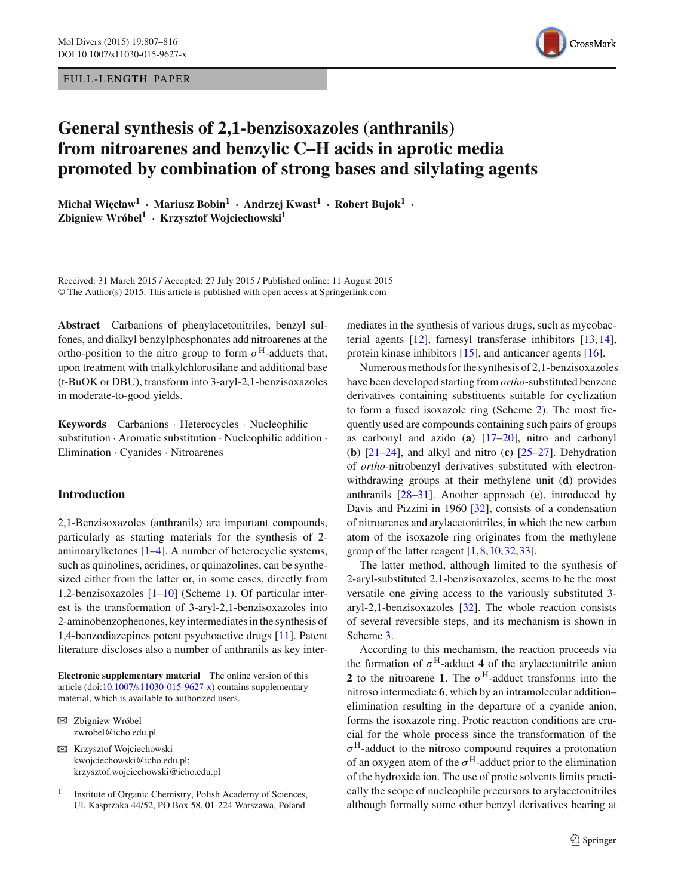## FULL -LENGTH PAPER



# **General synthesis of 2,1-benzisoxazoles (anthranils) from nitroarenes and benzylic C–H acids in aprotic media promoted by combination of strong bases and silylating agents**

 $Michat Wieclaw<sup>1</sup>$  **·**  $Mariusz Bobin<sup>1</sup>$  **·**  $Andrzej Kwast<sup>1</sup>$  **·**  $Robert Bujok<sup>1</sup>$  **· Zbigniew Wróbel<sup>1</sup> · Krzysztof Wojciechowski<sup>1</sup>**

Received: 31 March 2015 / Accepted: 27 July 2015 / Published online: 11 August 2015 © The Author(s) 2015. This article is published with open access at Springerlink.com

**Abstract** Carbanions of phenylacetonitriles, benzyl sulfones, and dialkyl benzylphosphonates add nitroarenes at the ortho-position to the nitro group to form  $\sigma^H$ -adducts that, upon treatment with trialkylchlorosilane and additional base (t-BuOK or DBU), transform into 3-aryl-2,1-benzisoxazoles in moderate-to-good yields.

**Keywords** Carbanions · Heterocycles · Nucleophilic substitution · Aromatic substitution · Nucleophilic addition · Elimination · Cyanides · Nitroarenes

# **Introduction**

2,1-Benzisoxazoles (anthranils) are important compounds, particularly as starting materials for the synthesis of 2 aminoarylketones [\[1](#page-7-0)[–4](#page-7-1)]. A number of heterocyclic systems, such as quinolines, acridines, or quinazolines, can be synthesized either from the latter or, in some cases, directly from 1,2-benzisoxazoles [\[1](#page-7-0)[–10\]](#page-7-2) (Scheme [1\)](#page-1-0). Of particular interest is the transformation of 3-aryl-2,1-benzisoxazoles into 2-aminobenzophenones, key intermediates in the synthesis of 1,4-benzodiazepines potent psychoactive drugs [\[11\]](#page-7-3). Patent literature discloses also a number of anthranils as key inter-

**Electronic supplementary material** The online version of this article (doi: $10.1007/s11030-015-9627-x$ ) contains supplementary material, which is available to authorized users.

B Krzysztof Wojciechowski kwojciechowski@icho.edu.pl; krzysztof.wojciechowski@icho.edu.pl

mediates in the synthesis of various drugs, such as mycobacterial agents [\[12\]](#page-7-4), farnesyl transferase inhibitors [\[13](#page-7-5)[,14](#page-7-6)], protein kinase inhibitors [\[15\]](#page-7-7), and anticancer agents [\[16\]](#page-7-8).

Numerous methods for the synthesis of 2,1-benzisoxazoles have been developed starting from *ortho*-substituted benzene derivatives containing substituents suitable for cyclization to form a fused isoxazole ring (Scheme [2\)](#page-1-1). The most frequently used are compounds containing such pairs of groups as carbonyl and azido (**a**) [\[17](#page-7-9)[–20](#page-7-10)], nitro and carbonyl (**b**) [\[21](#page-7-11)[–24](#page-8-0)], and alkyl and nitro (**c**) [\[25](#page-8-1)[–27\]](#page-8-2). Dehydration of *ortho*-nitrobenzyl derivatives substituted with electronwithdrawing groups at their methylene unit (**d**) provides anthranils [\[28](#page-8-3)[–31\]](#page-8-4). Another approach (**e**), introduced by Davis and Pizzini in 1960 [\[32\]](#page-8-5), consists of a condensation of nitroarenes and arylacetonitriles, in which the new carbon atom of the isoxazole ring originates from the methylene group of the latter reagent [\[1](#page-7-0),[8,](#page-7-12)[10](#page-7-2)[,32](#page-8-5)[,33](#page-8-6)].

The latter method, although limited to the synthesis of 2-aryl-substituted 2,1-benzisoxazoles, seems to be the most versatile one giving access to the variously substituted 3 aryl-2,1-benzisoxazoles [\[32](#page-8-5)]. The whole reaction consists of several reversible steps, and its mechanism is shown in Scheme [3.](#page-1-2)

According to this mechanism, the reaction proceeds via the formation of  $\sigma^H$ -adduct 4 of the arylacetonitrile anion **2** to the nitroarene **1**. The  $\sigma^H$ -adduct transforms into the nitroso intermediate **6**, which by an intramolecular addition– elimination resulting in the departure of a cyanide anion, forms the isoxazole ring. Protic reaction conditions are crucial for the whole process since the transformation of the  $\sigma^H$ -adduct to the nitroso compound requires a protonation of an oxygen atom of the  $\sigma^H$ -adduct prior to the elimination of the hydroxide ion. The use of protic solvents limits practically the scope of nucleophile precursors to arylacetonitriles although formally some other benzyl derivatives bearing at

B Zbigniew Wróbel zwrobel@icho.edu.pl

<sup>&</sup>lt;sup>1</sup> Institute of Organic Chemistry, Polish Academy of Sciences, Ul. Kasprzaka 44/52, PO Box 58, 01-224 Warszawa, Poland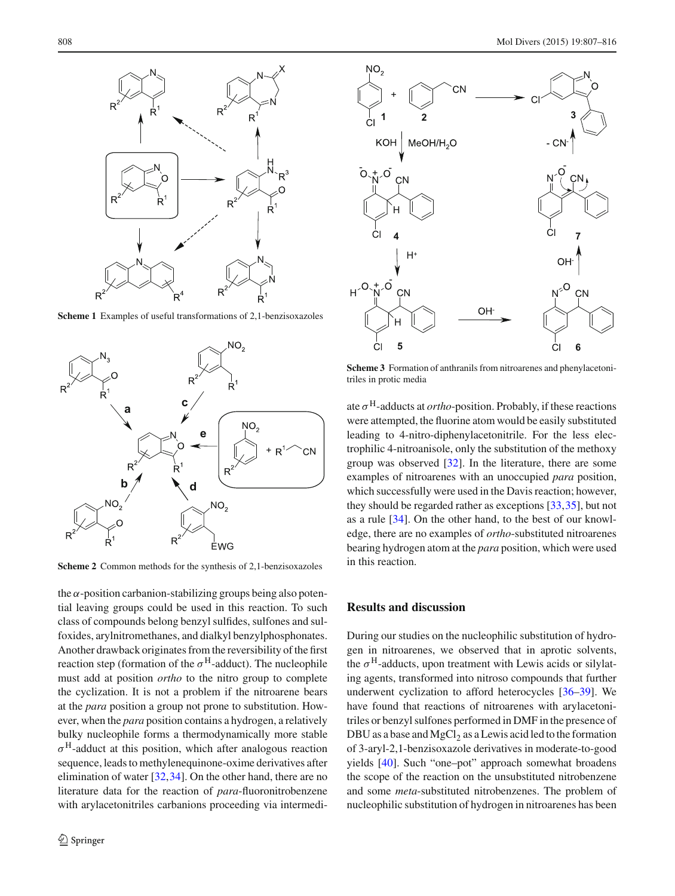

**Scheme 1** Examples of useful transformations of 2,1-benzisoxazoles

<span id="page-1-0"></span>

<span id="page-1-1"></span>**Scheme 2** Common methods for the synthesis of 2,1-benzisoxazoles

the  $\alpha$ -position carbanion-stabilizing groups being also potential leaving groups could be used in this reaction. To such class of compounds belong benzyl sulfides, sulfones and sulfoxides, arylnitromethanes, and dialkyl benzylphosphonates. Another drawback originates from the reversibility of the first reaction step (formation of the  $\sigma^H$ -adduct). The nucleophile must add at position *ortho* to the nitro group to complete the cyclization. It is not a problem if the nitroarene bears at the *para* position a group not prone to substitution. However, when the *para* position contains a hydrogen, a relatively bulky nucleophile forms a thermodynamically more stable  $\sigma^H$ -adduct at this position, which after analogous reaction sequence, leads to methylenequinone-oxime derivatives after elimination of water [\[32](#page-8-5),[34\]](#page-8-7). On the other hand, there are no literature data for the reaction of *para*-fluoronitrobenzene with arylacetonitriles carbanions proceeding via intermedi-



<span id="page-1-2"></span>**Scheme 3** Formation of anthranils from nitroarenes and phenylacetonitriles in protic media

ate  $\sigma^H$ -adducts at *ortho*-position. Probably, if these reactions were attempted, the fluorine atom would be easily substituted leading to 4-nitro-diphenylacetonitrile. For the less electrophilic 4-nitroanisole, only the substitution of the methoxy group was observed [\[32\]](#page-8-5). In the literature, there are some examples of nitroarenes with an unoccupied *para* position, which successfully were used in the Davis reaction; however, they should be regarded rather as exceptions [\[33](#page-8-6)[,35\]](#page-8-8), but not as a rule [\[34\]](#page-8-7). On the other hand, to the best of our knowledge, there are no examples of *ortho*-substituted nitroarenes bearing hydrogen atom at the *para* position, which were used in this reaction.

# **Results and discussion**

During our studies on the nucleophilic substitution of hydrogen in nitroarenes, we observed that in aprotic solvents, the  $\sigma^H$ -adducts, upon treatment with Lewis acids or silylating agents, transformed into nitroso compounds that further underwent cyclization to afford heterocycles [\[36](#page-8-9)[–39](#page-8-10)]. We have found that reactions of nitroarenes with arylacetonitriles or benzyl sulfones performed in DMF in the presence of DBU as a base and  $MgCl<sub>2</sub>$  as a Lewis acid led to the formation of 3-aryl-2,1-benzisoxazole derivatives in moderate-to-good yields [\[40\]](#page-8-11). Such "one–pot" approach somewhat broadens the scope of the reaction on the unsubstituted nitrobenzene and some *meta*-substituted nitrobenzenes. The problem of nucleophilic substitution of hydrogen in nitroarenes has been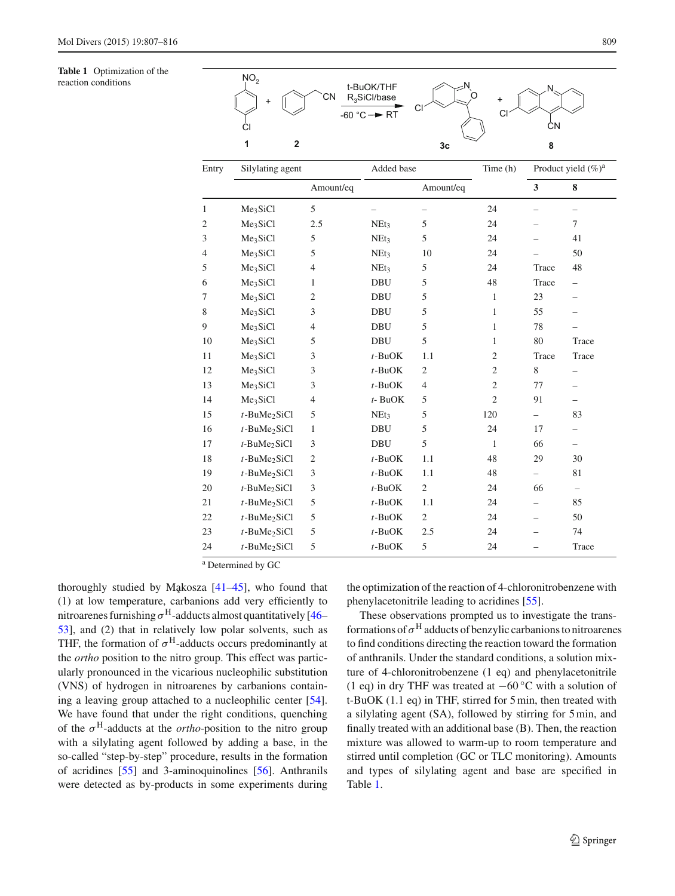#### <span id="page-2-0"></span>**Table 1** Optimization of the reaction conditions  $N_O<sub>2</sub>$



| Entry          | Silylating agent            |                | Added base       |                | Time (h)       | Product yield $(\%)^a$   |                          |
|----------------|-----------------------------|----------------|------------------|----------------|----------------|--------------------------|--------------------------|
|                |                             | Amount/eq      |                  | Amount/eq      |                | $\mathbf{3}$             | 8                        |
| 1              | Me <sub>3</sub> SiCl        | 5              |                  |                | 24             |                          |                          |
| $\overline{c}$ | Me <sub>3</sub> SiCl        | 2.5            | NE <sub>t3</sub> | 5              | 24             |                          | $\tau$                   |
| 3              | Me <sub>3</sub> SiCl        | 5              | NE <sub>t3</sub> | 5              | 24             |                          | 41                       |
| 4              | Me <sub>3</sub> SiCl        | 5              | NEt <sub>3</sub> | 10             | 24             |                          | 50                       |
| 5              | Me <sub>3</sub> SiCl        | $\overline{4}$ | NE <sub>t3</sub> | 5              | 24             | Trace                    | 48                       |
| 6              | Me <sub>3</sub> SiCl        | 1              | <b>DBU</b>       | 5              | 48             | Trace                    |                          |
| 7              | Me <sub>3</sub> SiCl        | 2              | <b>DBU</b>       | 5              | $\mathbf{1}$   | 23                       |                          |
| 8              | Me <sub>3</sub> SiCl        | 3              | <b>DBU</b>       | 5              | 1              | 55                       |                          |
| 9              | Me <sub>3</sub> SiCl        | 4              | <b>DBU</b>       | 5              | 1              | 78                       |                          |
| 10             | Me <sub>3</sub> SiCl        | 5              | <b>DBU</b>       | 5              | $\mathbf{1}$   | 80                       | Trace                    |
| 11             | Me <sub>3</sub> SiCl        | 3              | $t$ -BuOK        | 1.1            | $\mathfrak{2}$ | Trace                    | Trace                    |
| 12             | Me <sub>3</sub> SiCl        | 3              | $t$ -BuOK        | $\mathfrak{2}$ | $\mathfrak{2}$ | 8                        |                          |
| 13             | Me <sub>3</sub> SiCl        | 3              | $t$ -BuOK        | $\overline{4}$ | $\overline{2}$ | 77                       |                          |
| 14             | Me <sub>3</sub> SiCl        | 4              | $t$ - BuOK       | 5              | $\overline{2}$ | 91                       |                          |
| 15             | $t$ -BuMe <sub>2</sub> SiCl | 5              | NEt <sub>3</sub> | 5              | 120            |                          | 83                       |
| 16             | $t$ -BuMe <sub>2</sub> SiCl | 1              | <b>DBU</b>       | 5              | 24             | 17                       | -                        |
| 17             | $t$ -BuMe <sub>2</sub> SiCl | 3              | <b>DBU</b>       | 5              | $\mathbf{1}$   | 66                       |                          |
| 18             | $t$ -BuMe <sub>2</sub> SiCl | $\mathfrak{2}$ | $t$ -BuOK        | 1.1            | 48             | 29                       | 30                       |
| 19             | $t$ -BuMe <sub>2</sub> SiCl | 3              | $t$ -BuOK        | 1.1            | 48             |                          | 81                       |
| 20             | $t$ -BuMe <sub>2</sub> SiCl | 3              | $t$ -BuOK        | $\mathfrak{2}$ | 24             | 66                       | $\overline{\phantom{0}}$ |
| 21             | $t$ -BuMe <sub>2</sub> SiCl | 5              | $t$ -BuOK        | 1.1            | 24             | $\overline{\phantom{0}}$ | 85                       |
| 22             | $t$ -BuMe <sub>2</sub> SiCl | 5              | $t$ -BuOK        | $\mathfrak{2}$ | 24             |                          | 50                       |
| 23             | $t$ -BuMe <sub>2</sub> SiCl | 5              | $t$ -BuOK        | 2.5            | 24             |                          | 74                       |
| 24             | $t$ -BuMe <sub>2</sub> SiCl | 5              | $t$ -BuOK        | 5              | 24             |                          | Trace                    |

<sup>a</sup> Determined by GC

thoroughly studied by Mąkosza  $[41-45]$  $[41-45]$ , who found that (1) at low temperature, carbanions add very efficiently to nitroarenes furnishing  $\sigma^H$ -adducts almost quantitatively [\[46](#page-8-14)– [53\]](#page-8-15), and (2) that in relatively low polar solvents, such as THF, the formation of  $\sigma^H$ -adducts occurs predominantly at the *ortho* position to the nitro group. This effect was particularly pronounced in the vicarious nucleophilic substitution (VNS) of hydrogen in nitroarenes by carbanions containing a leaving group attached to a nucleophilic center [\[54](#page-8-16)]. We have found that under the right conditions, quenching of the  $\sigma^H$ -adducts at the *ortho*-position to the nitro group with a silylating agent followed by adding a base, in the so-called "step-by-step" procedure, results in the formation of acridines [\[55\]](#page-8-17) and 3-aminoquinolines [\[56\]](#page-8-18). Anthranils were detected as by-products in some experiments during the optimization of the reaction of 4-chloronitrobenzene with phenylacetonitrile leading to acridines [\[55](#page-8-17)].

These observations prompted us to investigate the transformations of  $\sigma^H$  adducts of benzylic carbanions to nitroarenes to find conditions directing the reaction toward the formation of anthranils. Under the standard conditions, a solution mixture of 4-chloronitrobenzene (1 eq) and phenylacetonitrile (1 eq) in dry THF was treated at −60 ◦C with a solution of t-BuOK (1.1 eq) in THF, stirred for 5 min, then treated with a silylating agent (SA), followed by stirring for 5 min, and finally treated with an additional base (B). Then, the reaction mixture was allowed to warm-up to room temperature and stirred until completion (GC or TLC monitoring). Amounts and types of silylating agent and base are specified in Table [1.](#page-2-0)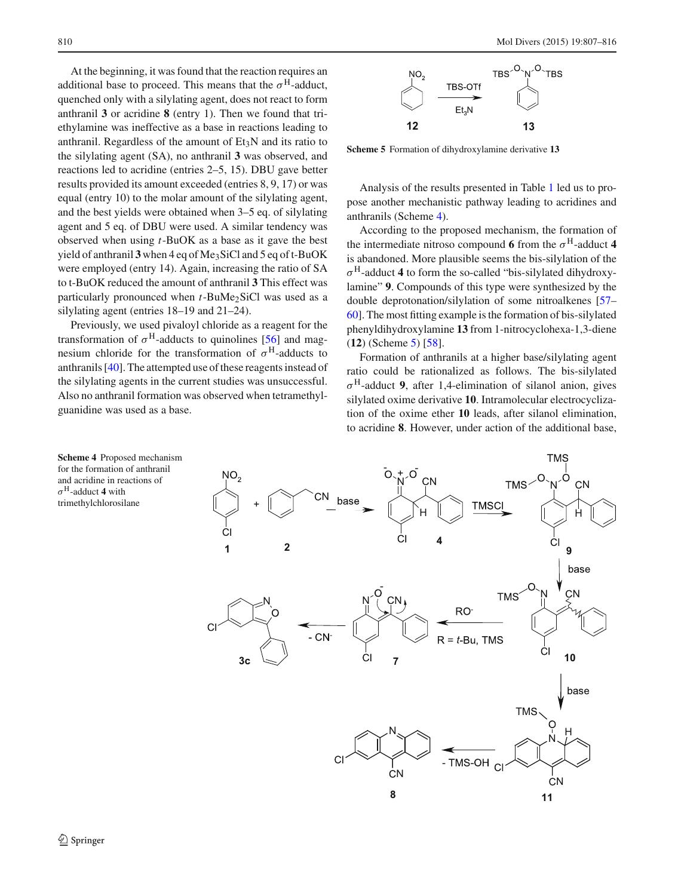At the beginning, it was found that the reaction requires an additional base to proceed. This means that the  $\sigma^H$ -adduct, quenched only with a silylating agent, does not react to form anthranil **3** or acridine **8** (entry 1). Then we found that triethylamine was ineffective as a base in reactions leading to anthranil. Regardless of the amount of  $Et<sub>3</sub>N$  and its ratio to the silylating agent (SA), no anthranil **3** was observed, and reactions led to acridine (entries 2–5, 15). DBU gave better results provided its amount exceeded (entries 8, 9, 17) or was equal (entry 10) to the molar amount of the silylating agent, and the best yields were obtained when 3–5 eq. of silylating agent and 5 eq. of DBU were used. A similar tendency was observed when using *t*-BuOK as a base as it gave the best yield of anthranil **3** when 4 eq of Me3SiCl and 5 eq of t-BuOK were employed (entry 14). Again, increasing the ratio of SA to t-BuOK reduced the amount of anthranil **3** This effect was particularly pronounced when *t*-BuMe<sub>2</sub>SiCl was used as a silylating agent (entries 18–19 and 21–24).

Previously, we used pivaloyl chloride as a reagent for the transformation of  $\sigma^H$ -adducts to quinolines [\[56](#page-8-18)] and magnesium chloride for the transformation of  $\sigma^H$ -adducts to anthranils [\[40](#page-8-11)]. The attempted use of these reagents instead of the silylating agents in the current studies was unsuccessful. Also no anthranil formation was observed when tetramethylguanidine was used as a base.



<span id="page-3-1"></span>**Scheme 5** Formation of dihydroxylamine derivative **13**

Analysis of the results presented in Table [1](#page-2-0) led us to propose another mechanistic pathway leading to acridines and anthranils (Scheme [4\)](#page-3-0).

According to the proposed mechanism, the formation of the intermediate nitroso compound **6** from the  $\sigma$ <sup>H</sup>-adduct 4 is abandoned. More plausible seems the bis-silylation of the  $\sigma^H$ -adduct 4 to form the so-called "bis-silylated dihydroxylamine" **9**. Compounds of this type were synthesized by the double deprotonation/silylation of some nitroalkenes [\[57](#page-8-19)– [60](#page-9-0)]. The most fitting example is the formation of bis-silylated phenyldihydroxylamine **13** from 1-nitrocyclohexa-1,3-diene (**12**) (Scheme [5\)](#page-3-1) [\[58\]](#page-8-20).

Formation of anthranils at a higher base/silylating agent ratio could be rationalized as follows. The bis-silylated  $\sigma^H$ -adduct **9**, after 1,4-elimination of silanol anion, gives silylated oxime derivative **10**. Intramolecular electrocyclization of the oxime ether **10** leads, after silanol elimination, to acridine **8**. However, under action of the additional base,

<span id="page-3-0"></span>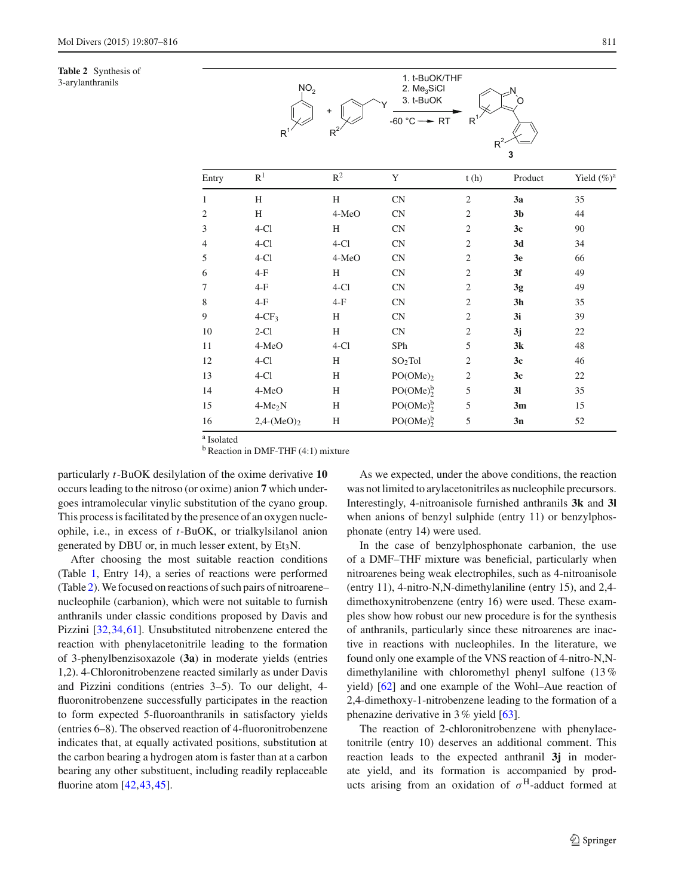<span id="page-4-0"></span>**Table 2** Synthesis of 3-arylanthranils



| Entry          | R <sup>1</sup>       | $R^2$  | Y                                 | t(h)           | Product        | Yield $(\%)^a$ |
|----------------|----------------------|--------|-----------------------------------|----------------|----------------|----------------|
| $\mathbf{1}$   | H                    | H      | CN                                | $\mathfrak{2}$ | 3a             | 35             |
| $\mathfrak{2}$ | H                    | 4-MeO  | CN                                | $\mathbf{2}$   | 3 <sub>b</sub> | 44             |
| 3              | $4-Cl$               | H      | <b>CN</b>                         | $\overline{c}$ | 3c             | 90             |
| $\overline{4}$ | $4-Cl$               | $4-Cl$ | CN                                | $\mathfrak{2}$ | 3d             | 34             |
| 5              | $4-Cl$               | 4-MeO  | CN                                | $\overline{2}$ | 3e             | 66             |
| 6              | $4-F$                | H      | CN                                | $\overline{2}$ | 3f             | 49             |
| 7              | $4-F$                | $4-Cl$ | CN                                | $\mathfrak{2}$ | 3g             | 49             |
| 8              | $4-F$                | $4-F$  | <b>CN</b>                         | 2              | 3 <sub>h</sub> | 35             |
| 9              | $4$ -CF <sub>3</sub> | H      | CN                                | 2              | 3i             | 39             |
| 10             | $2-C1$               | H      | CN                                | $\mathfrak{2}$ | 3j             | 22             |
| 11             | 4-MeO                | $4-Cl$ | SPh                               | 5              | 3k             | 48             |
| 12             | $4-Cl$               | Η      | $SO2$ Tol                         | $\mathfrak{2}$ | 3c             | 46             |
| 13             | $4-Cl$               | H      | $PO(OME)_2$                       | $\mathfrak{2}$ | 3c             | 22             |
| 14             | 4-MeO                | H      | PO(OME) <sub>2</sub> <sup>b</sup> | 5              | 3 <sub>l</sub> | 35             |
| 15             | $4-Me2N$             | H      | PO(OME) <sub>2</sub> <sup>b</sup> | 5              | 3m             | 15             |
| 16             | $2,4-(MeO)$          | Η      | PO(OME) <sub>2</sub> <sup>b</sup> | 5              | 3n             | 52             |

<sup>a</sup> Isolated

 $<sup>b</sup>$  Reaction in DMF-THF (4:1) mixture</sup>

particularly *t*-BuOK desilylation of the oxime derivative **10** occurs leading to the nitroso (or oxime) anion **7** which undergoes intramolecular vinylic substitution of the cyano group. This process is facilitated by the presence of an oxygen nucleophile, i.e., in excess of *t*-BuOK, or trialkylsilanol anion generated by DBU or, in much lesser extent, by  $Et<sub>3</sub>N$ .

After choosing the most suitable reaction conditions (Table [1,](#page-2-0) Entry 14), a series of reactions were performed (Table [2\)](#page-4-0).We focused on reactions of such pairs of nitroarene– nucleophile (carbanion), which were not suitable to furnish anthranils under classic conditions proposed by Davis and Pizzini [\[32](#page-8-5),[34,](#page-8-7)[61\]](#page-9-1). Unsubstituted nitrobenzene entered the reaction with phenylacetonitrile leading to the formation of 3-phenylbenzisoxazole (**3a**) in moderate yields (entries 1,2). 4-Chloronitrobenzene reacted similarly as under Davis and Pizzini conditions (entries 3–5). To our delight, 4 fluoronitrobenzene successfully participates in the reaction to form expected 5-fluoroanthranils in satisfactory yields (entries 6–8). The observed reaction of 4-fluoronitrobenzene indicates that, at equally activated positions, substitution at the carbon bearing a hydrogen atom is faster than at a carbon bearing any other substituent, including readily replaceable fluorine atom [\[42](#page-8-21)[,43](#page-8-22),[45\]](#page-8-13).

As we expected, under the above conditions, the reaction was not limited to arylacetonitriles as nucleophile precursors. Interestingly, 4-nitroanisole furnished anthranils **3k** and **3l** when anions of benzyl sulphide (entry 11) or benzylphosphonate (entry 14) were used.

In the case of benzylphosphonate carbanion, the use of a DMF–THF mixture was beneficial, particularly when nitroarenes being weak electrophiles, such as 4-nitroanisole (entry 11), 4-nitro-N,N-dimethylaniline (entry 15), and 2,4 dimethoxynitrobenzene (entry 16) were used. These examples show how robust our new procedure is for the synthesis of anthranils, particularly since these nitroarenes are inactive in reactions with nucleophiles. In the literature, we found only one example of the VNS reaction of 4-nitro-N,Ndimethylaniline with chloromethyl phenyl sulfone (13% yield) [\[62](#page-9-2)] and one example of the Wohl–Aue reaction of 2,4-dimethoxy-1-nitrobenzene leading to the formation of a phenazine derivative in 3% yield [\[63](#page-9-3)].

The reaction of 2-chloronitrobenzene with phenylacetonitrile (entry 10) deserves an additional comment. This reaction leads to the expected anthranil **3j** in moderate yield, and its formation is accompanied by products arising from an oxidation of  $\sigma^H$ -adduct formed at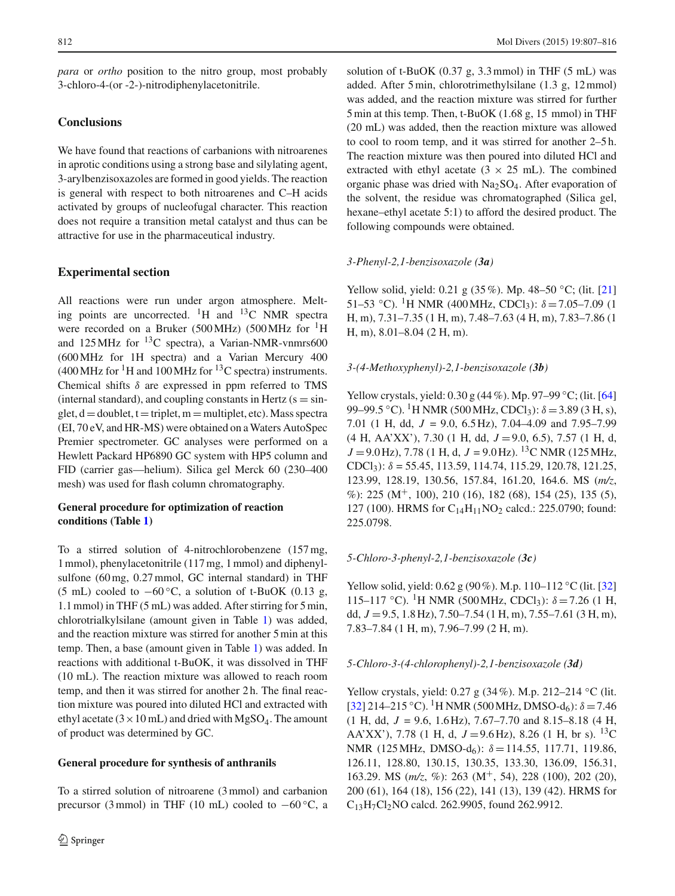*para* or *ortho* position to the nitro group, most probably 3-chloro-4-(or -2-)-nitrodiphenylacetonitrile.

# **Conclusions**

We have found that reactions of carbanions with nitroarenes in aprotic conditions using a strong base and silylating agent, 3-arylbenzisoxazoles are formed in good yields. The reaction is general with respect to both nitroarenes and C–H acids activated by groups of nucleofugal character. This reaction does not require a transition metal catalyst and thus can be attractive for use in the pharmaceutical industry.

# **Experimental section**

All reactions were run under argon atmosphere. Melting points are uncorrected. <sup>1</sup>H and <sup>13</sup>C NMR spectra were recorded on a Bruker (500 MHz) (500 MHz for <sup>1</sup>H and  $125 \text{ MHz}$  for  $^{13}$ C spectra), a Varian-NMR-vnmrs600 (600MHz for 1H spectra) and a Varian Mercury 400  $(400 \text{ MHz for }^{1}H \text{ and } 100 \text{ MHz for }^{13}C \text{ spectra})$  instruments. Chemical shifts  $\delta$  are expressed in ppm referred to TMS (internal standard), and coupling constants in Hertz  $(s = sin$ glet,  $d =$ doublet,  $t =$ triplet, m = multiplet, etc). Mass spectra (EI, 70 eV, and HR-MS) were obtained on a Waters AutoSpec Premier spectrometer. GC analyses were performed on a Hewlett Packard HP6890 GC system with HP5 column and FID (carrier gas—helium). Silica gel Merck 60 (230–400 mesh) was used for flash column chromatography.

# **General procedure for optimization of reaction conditions (Table [1\)](#page-2-0)**

To a stirred solution of 4-nitrochlorobenzene (157 mg, 1 mmol), phenylacetonitrile (117 mg, 1 mmol) and diphenylsulfone (60 mg, 0.27 mmol, GC internal standard) in THF (5 mL) cooled to  $-60$  °C, a solution of t-BuOK (0.13 g, 1.1 mmol) in THF (5 mL) was added. After stirring for 5 min, chlorotrialkylsilane (amount given in Table [1\)](#page-2-0) was added, and the reaction mixture was stirred for another 5 min at this temp. Then, a base (amount given in Table [1\)](#page-2-0) was added. In reactions with additional t-BuOK, it was dissolved in THF (10 mL). The reaction mixture was allowed to reach room temp, and then it was stirred for another 2 h. The final reaction mixture was poured into diluted HCl and extracted with ethyl acetate ( $3 \times 10$  mL) and dried with MgSO<sub>4</sub>. The amount of product was determined by GC.

# **General procedure for synthesis of anthranils**

To a stirred solution of nitroarene (3 mmol) and carbanion precursor (3 mmol) in THF (10 mL) cooled to  $-60^{\circ}$ C, a solution of t-BuOK  $(0.37 \text{ g}, 3.3 \text{ mmol})$  in THF  $(5 \text{ mL})$  was added. After 5 min, chlorotrimethylsilane (1.3 g, 12 mmol) was added, and the reaction mixture was stirred for further 5 min at this temp. Then, t-BuOK (1.68 g, 15 mmol) in THF (20 mL) was added, then the reaction mixture was allowed to cool to room temp, and it was stirred for another 2–5 h. The reaction mixture was then poured into diluted HCl and extracted with ethyl acetate  $(3 \times 25 \text{ mL})$ . The combined organic phase was dried with Na2SO4. After evaporation of the solvent, the residue was chromatographed (Silica gel, hexane–ethyl acetate 5:1) to afford the desired product. The following compounds were obtained.

# *3-Phenyl-2,1-benzisoxazole (3a)*

Yellow solid, yield: 0.21 g (35%). Mp. 48–50 ◦C; (lit. [\[21\]](#page-7-11) 51–53 °C). <sup>1</sup>H NMR (400 MHz, CDCl<sub>3</sub>):  $\delta$  = 7.05–7.09 (1 H, m), 7.31–7.35 (1 H, m), 7.48–7.63 (4 H, m), 7.83–7.86 (1 H, m), 8.01–8.04 (2 H, m).

# *3-(4-Methoxyphenyl)-2,1-benzisoxazole (3b)*

Yellow crystals, yield: 0.30 g (44%). Mp. 97–99 ◦C; (lit. [\[64\]](#page-9-4) 99–99.5 °C). <sup>1</sup>H NMR (500 MHz, CDCl<sub>3</sub>):  $\delta$  = 3.89 (3 H, s), 7.01 (1 H, dd, *J* = 9.0, 6.5 Hz), 7.04–4.09 and 7.95–7.99 (4 H, AA'XX'), 7.30 (1 H, dd, *J* =9.0, 6.5), 7.57 (1 H, d,  $J = 9.0$  Hz), 7.78 (1 H, d,  $J = 9.0$  Hz). <sup>13</sup>C NMR (125 MHz, CDCl<sub>3</sub>):  $\delta$  = 55.45, 113.59, 114.74, 115.29, 120.78, 121.25, 123.99, 128.19, 130.56, 157.84, 161.20, 164.6. MS (*m/z*, %): 225 ( $M^+$ , 100), 210 (16), 182 (68), 154 (25), 135 (5), 127 (100). HRMS for  $C_{14}H_{11}NO_2$  calcd.: 225.0790; found: 225.0798.

# *5-Chloro-3-phenyl-2,1-benzisoxazole (3c)*

Yellow solid, yield: 0.62 g (90%). M.p. 110–112 ◦C (lit. [\[32\]](#page-8-5) 115–117 °C). <sup>1</sup>H NMR (500 MHz, CDCl<sub>3</sub>):  $\delta$  = 7.26 (1 H, dd, *J* =9.5, 1.8 Hz), 7.50–7.54 (1 H, m), 7.55–7.61 (3 H, m), 7.83–7.84 (1 H, m), 7.96–7.99 (2 H, m).

## *5-Chloro-3-(4-chlorophenyl)-2,1-benzisoxazole (3d)*

Yellow crystals, yield: 0.27 g (34%). M.p. 212–214 ◦C (lit.  $[32]$  $[32]$  214–215 °C). <sup>1</sup>H NMR (500 MHz, DMSO-d<sub>6</sub>):  $\delta = 7.46$ (1 H, dd, *J* = 9.6, 1.6 Hz), 7.67–7.70 and 8.15–8.18 (4 H, AA'XX'), 7.78 (1 H, d,  $J = 9.6$  Hz), 8.26 (1 H, br s). <sup>13</sup>C NMR (125 MHz, DMSO-d<sub>6</sub>):  $\delta = 114.55, 117.71, 119.86$ , 126.11, 128.80, 130.15, 130.35, 133.30, 136.09, 156.31, 163.29. MS (*m/z*, %): 263 (M+, 54), 228 (100), 202 (20), 200 (61), 164 (18), 156 (22), 141 (13), 139 (42). HRMS for C13H7Cl2NO calcd. 262.9905, found 262.9912.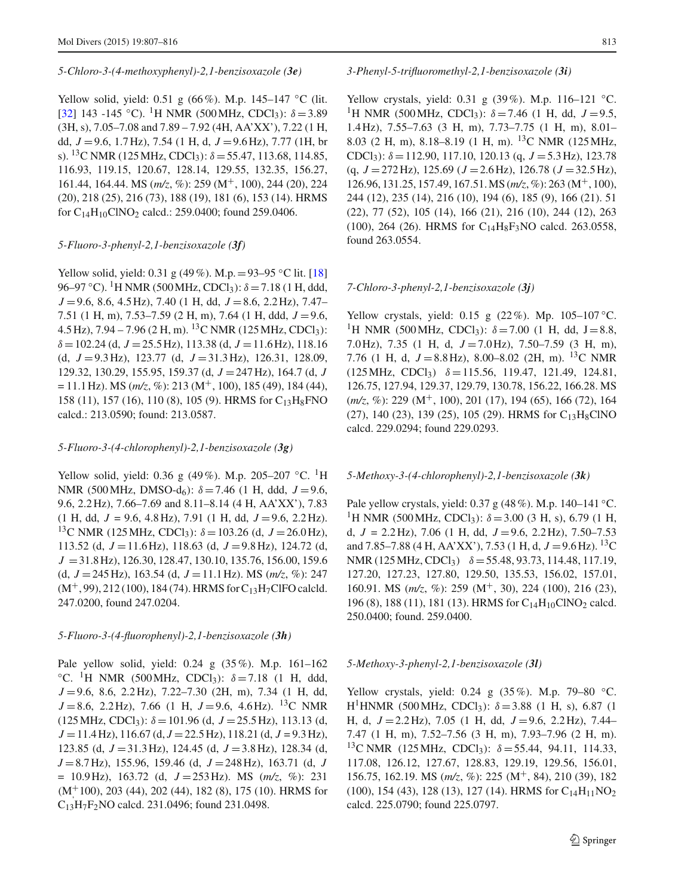#### *5-Chloro-3-(4-methoxyphenyl)-2,1-benzisoxazole (3e)*

Yellow solid, yield: 0.51 g (66%). M.p. 145–147 ◦C (lit. [\[32](#page-8-5)] 143 -145 °C). <sup>1</sup>H NMR (500 MHz, CDCl<sub>3</sub>):  $\delta = 3.89$ (3H, s), 7.05–7.08 and 7.89 – 7.92 (4H, AA'XX'), 7.22 (1 H, dd, *J* =9.6, 1.7 Hz), 7.54 (1 H, d, *J* =9.6 Hz), 7.77 (1H, br s). <sup>13</sup>C NMR (125 MHz, CDCl<sub>3</sub>):  $\delta$  = 55.47, 113.68, 114.85, 116.93, 119.15, 120.67, 128.14, 129.55, 132.35, 156.27, 161.44, 164.44. MS (*m/z*, %): 259 (M+, 100), 244 (20), 224 (20), 218 (25), 216 (73), 188 (19), 181 (6), 153 (14). HRMS for  $C_{14}H_{10}CINO_2$  calcd.: 259.0400; found 259.0406.

## *5-Fluoro-3-phenyl-2,1-benzisoxazole (3f)*

Yellow solid, yield: 0.31 g (49%). M.p. = 93–95 °C lit. [\[18\]](#page-7-13) 96–97 °C). <sup>1</sup>H NMR (500 MHz, CDCl<sub>3</sub>):  $\delta$  = 7.18 (1 H, ddd, *J* =9.6, 8.6, 4.5 Hz), 7.40 (1 H, dd, *J* =8.6, 2.2 Hz), 7.47– 7.51 (1 H, m), 7.53–7.59 (2 H, m), 7.64 (1 H, ddd, *J* =9.6, 4.5 Hz),  $7.94 - 7.96$  (2 H, m). <sup>13</sup>C NMR (125 MHz, CDCl<sub>3</sub>):  $\delta = 102.24$  (d,  $J = 25.5$  Hz), 113.38 (d,  $J = 11.6$  Hz), 118.16 (d, *J* =9.3 Hz), 123.77 (d, *J* =31.3 Hz), 126.31, 128.09, 129.32, 130.29, 155.95, 159.37 (d, *J* =247 Hz), 164.7 (d, *J*  $= 11.1$  Hz). MS ( $m/z$ , %): 213 (M<sup>+</sup>, 100), 185 (49), 184 (44), 158 (11), 157 (16), 110 (8), 105 (9). HRMS for C<sub>13</sub>H<sub>8</sub>FNO calcd.: 213.0590; found: 213.0587.

#### *5-Fluoro-3-(4-chlorophenyl)-2,1-benzisoxazole (3g)*

Yellow solid, yield: 0.36 g (49%). M.p. 205–207 °C. <sup>1</sup>H NMR (500 MHz, DMSO-d<sub>6</sub>):  $\delta = 7.46$  (1 H, ddd,  $J = 9.6$ , 9.6, 2.2 Hz), 7.66–7.69 and 8.11–8.14 (4 H, AA'XX'), 7.83  $(1 \text{ H}, \text{ dd}, J = 9.6, 4.8 \text{ Hz}), 7.91 (1 \text{ H}, \text{ dd}, J = 9.6, 2.2 \text{ Hz}).$ <sup>13</sup>C NMR (125 MHz, CDCl<sub>3</sub>):  $\delta$  = 103.26 (d, *J* = 26.0 Hz), 113.52 (d, *J* =11.6 Hz), 118.63 (d, *J* =9.8 Hz), 124.72 (d, *J* =31.8 Hz), 126.30, 128.47, 130.10, 135.76, 156.00, 159.6 (d, *J* =245 Hz), 163.54 (d, *J* =11.1 Hz). MS (*m/z*, %): 247  $(M^+, 99)$ , 212 (100), 184 (74). HRMS for C<sub>13</sub>H<sub>7</sub>ClFO calcld. 247.0200, found 247.0204.

## *5-Fluoro-3-(4-fluorophenyl)-2,1-benzisoxazole (3h)*

Pale yellow solid, yield: 0.24 g (35%). M.p. 161–162 °C. <sup>1</sup>H NMR (500 MHz, CDCl<sub>3</sub>):  $\delta = 7.18$  (1 H, ddd, *J* =9.6, 8.6, 2.2 Hz), 7.22–7.30 (2H, m), 7.34 (1 H, dd,  $J = 8.6$ , 2.2 Hz), 7.66 (1 H,  $J = 9.6$ , 4.6 Hz). <sup>13</sup>C NMR  $(125 \text{ MHz}, \text{CDCl}_3)$ :  $\delta = 101.96$  (d,  $J = 25.5 \text{ Hz}$ ), 113.13 (d, *J* =11.4 Hz), 116.67 (d, *J* =22.5 Hz), 118.21 (d, *J* = 9.3 Hz), 123.85 (d, *J* =31.3 Hz), 124.45 (d, *J* =3.8 Hz), 128.34 (d, *J* =8.7 Hz), 155.96, 159.46 (d, *J* =248 Hz), 163.71 (d, *J*  $= 10.9$  Hz), 163.72 (d,  $J = 253$  Hz). MS ( $m/z$ , %): 231 (M<sup>+</sup>100), 203 (44), 202 (44), 182 (8), 175 (10). HRMS for C13H7F2NO calcd. 231.0496; found 231.0498.

## *3-Phenyl-5-trifluoromethyl-2,1-benzisoxazole (3i)*

Yellow crystals, yield: 0.31 g (39%). M.p. 116–121 ◦C. <sup>1</sup>H NMR (500 MHz, CDCl<sub>3</sub>):  $\delta$  = 7.46 (1 H, dd, J = 9.5, 1.4 Hz), 7.55–7.63 (3 H, m), 7.73–7.75 (1 H, m), 8.01– 8.03 (2 H, m), 8.18–8.19 (1 H, m). 13C NMR (125MHz, CDCl<sub>3</sub>):  $\delta = 112.90, 117.10, 120.13$  (q,  $J = 5.3$  Hz), 123.78 (q, *J* =272 Hz), 125.69 (*J* =2.6 Hz), 126.78 (*J* =32.5 Hz), 126.96, 131.25, 157.49, 167.51.MS (*m/z*, %): 263 (M+, 100), 244 (12), 235 (14), 216 (10), 194 (6), 185 (9), 166 (21). 51 (22), 77 (52), 105 (14), 166 (21), 216 (10), 244 (12), 263 (100), 264 (26). HRMS for C14H8F3NO calcd. 263.0558, found 263.0554.

#### *7-Chloro-3-phenyl-2,1-benzisoxazole (3j)*

Yellow crystals, yield: 0.15 g  $(22\%)$ . Mp. 105–107 °C. <sup>1</sup>H NMR (500 MHz, CDCl<sub>3</sub>):  $\delta$  = 7.00 (1 H, dd, J = 8.8, 7.0 Hz), 7.35 (1 H, d, *J* =7.0 Hz), 7.50–7.59 (3 H, m), 7.76 (1 H, d,  $J = 8.8$  Hz), 8.00–8.02 (2H, m). <sup>13</sup>C NMR  $(125 \text{ MHz}, \text{ CDCl}_3)$   $\delta = 115.56, 119.47, 121.49, 124.81,$ 126.75, 127.94, 129.37, 129.79, 130.78, 156.22, 166.28. MS ( $m/z$ , %): 229 ( $M^+$ , 100), 201 (17), 194 (65), 166 (72), 164 (27), 140 (23), 139 (25), 105 (29). HRMS for C<sub>13</sub>H<sub>8</sub>ClNO calcd. 229.0294; found 229.0293.

#### *5-Methoxy-3-(4-chlorophenyl)-2,1-benzisoxazole (3k)*

Pale yellow crystals, yield: 0.37 g (48 %). M.p. 140–141 °C. <sup>1</sup>H NMR (500 MHz, CDCl<sub>3</sub>):  $\delta$  = 3.00 (3 H, s), 6.79 (1 H, d, *J* = 2.2 Hz), 7.06 (1 H, dd, *J* =9.6, 2.2 Hz), 7.50–7.53 and 7.85–7.88 (4 H, AA'XX'), 7.53 (1 H, d,  $J = 9.6$  Hz). <sup>13</sup>C NMR (125 MHz, CDCl<sub>3</sub>)  $\delta = 55.48, 93.73, 114.48, 117.19,$ 127.20, 127.23, 127.80, 129.50, 135.53, 156.02, 157.01, 160.91. MS (*m/z*, %): 259 (M+, 30), 224 (100), 216 (23), 196 (8), 188 (11), 181 (13). HRMS for  $C_{14}H_{10}CINO_2$  calcd. 250.0400; found. 259.0400.

## *5-Methoxy-3-phenyl-2,1-benzisoxazole (3l)*

Yellow crystals, yield: 0.24 g (35%). M.p. 79–80 ◦C. H<sup>1</sup>HNMR (500 MHz, CDCl<sub>3</sub>):  $\delta = 3.88$  (1 H, s), 6.87 (1 H, d, *J* =2.2 Hz), 7.05 (1 H, dd, *J* =9.6, 2.2 Hz), 7.44– 7.47 (1 H, m), 7.52–7.56 (3 H, m), 7.93–7.96 (2 H, m). <sup>13</sup>C NMR (125 MHz, CDCl<sub>3</sub>):  $\delta = 55.44$ , 94.11, 114.33, 117.08, 126.12, 127.67, 128.83, 129.19, 129.56, 156.01, 156.75, 162.19. MS (*m/z*, %): 225 (M+, 84), 210 (39), 182 (100), 154 (43), 128 (13), 127 (14). HRMS for  $C_{14}H_{11}NO_2$ calcd. 225.0790; found 225.0797.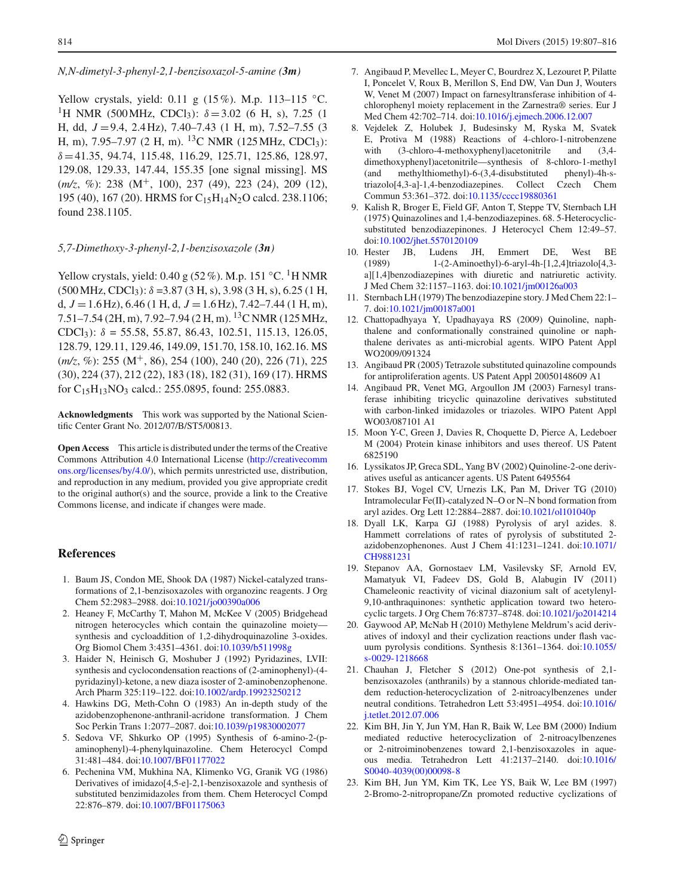## *N,N-dimetyl-3-phenyl-2,1-benzisoxazol-5-amine (3m)*

Yellow crystals, yield: 0.11 g (15%). M.p. 113–115 ◦C. <sup>1</sup>H NMR (500 MHz, CDCl<sub>3</sub>):  $\delta = 3.02$  (6 H, s), 7.25 (1 H, dd, *J* =9.4, 2.4 Hz), 7.40–7.43 (1 H, m), 7.52–7.55 (3 H, m), 7.95–7.97 (2 H, m). <sup>13</sup>C NMR (125 MHz, CDCl<sub>3</sub>):  $\delta = 41.35, 94.74, 115.48, 116.29, 125.71, 125.86, 128.97,$ 129.08, 129.33, 147.44, 155.35 [one signal missing]. MS (*m*/z, %): 238 (M<sup>+</sup>, 100), 237 (49), 223 (24), 209 (12), 195 (40), 167 (20). HRMS for C<sub>15</sub>H<sub>14</sub>N<sub>2</sub>O calcd. 238.1106; found 238.1105.

## *5,7-Dimethoxy-3-phenyl-2,1-benzisoxazole (3n)*

Yellow crystals, yield: 0.40 g (52 %). M.p. 151 °C. <sup>1</sup>H NMR  $(500 \text{ MHz}, \text{CDCl}_3)$ :  $\delta = 3.87$  (3 H, s), 3.98 (3 H, s), 6.25 (1 H, d,  $J = 1.6$  Hz),  $6.46$  (1 H, d,  $J = 1.6$  Hz),  $7.42 - 7.44$  (1 H, m), 7.51–7.54 (2H, m), 7.92–7.94 (2 H, m). 13C NMR (125MHz, CDCl<sub>3</sub>):  $\delta = 55.58, 55.87, 86.43, 102.51, 115.13, 126.05,$ 128.79, 129.11, 129.46, 149.09, 151.70, 158.10, 162.16. MS (*m/z*, %): 255 (M<sup>+</sup>, 86), 254 (100), 240 (20), 226 (71), 225 (30), 224 (37), 212 (22), 183 (18), 182 (31), 169 (17). HRMS for  $C_{15}H_{13}NO_3$  calcd.: 255.0895, found: 255.0883.

**Acknowledgments** This work was supported by the National Scientific Center Grant No. 2012/07/B/ST5/00813.

**Open Access** This article is distributed under the terms of the Creative Commons Attribution 4.0 International License [\(http://creativecomm](http://creativecommons.org/licenses/by/4.0/) [ons.org/licenses/by/4.0/\)](http://creativecommons.org/licenses/by/4.0/), which permits unrestricted use, distribution, and reproduction in any medium, provided you give appropriate credit to the original author(s) and the source, provide a link to the Creative Commons license, and indicate if changes were made.

## **References**

- <span id="page-7-0"></span>1. Baum JS, Condon ME, Shook DA (1987) Nickel-catalyzed transformations of 2,1-benzisoxazoles with organozinc reagents. J Org Chem 52:2983–2988. doi[:10.1021/jo00390a006](http://dx.doi.org/10.1021/jo00390a006)
- 2. Heaney F, McCarthy T, Mahon M, McKee V (2005) Bridgehead nitrogen heterocycles which contain the quinazoline moiety synthesis and cycloaddition of 1,2-dihydroquinazoline 3-oxides. Org Biomol Chem 3:4351–4361. doi[:10.1039/b511998g](http://dx.doi.org/10.1039/b511998g)
- 3. Haider N, Heinisch G, Moshuber J (1992) Pyridazines, LVII: synthesis and cyclocondensation reactions of (2-aminophenyl)-(4 pyridazinyl)-ketone, a new diaza isoster of 2-aminobenzophenone. Arch Pharm 325:119–122. doi[:10.1002/ardp.19923250212](http://dx.doi.org/10.1002/ardp.19923250212)
- <span id="page-7-1"></span>4. Hawkins DG, Meth-Cohn O (1983) An in-depth study of the azidobenzophenone-anthranil-acridone transformation. J Chem Soc Perkin Trans 1:2077–2087. doi[:10.1039/p19830002077](http://dx.doi.org/10.1039/p19830002077)
- 5. Sedova VF, Shkurko OP (1995) Synthesis of 6-amino-2-(paminophenyl)-4-phenylquinazoline. Chem Heterocycl Compd 31:481–484. doi[:10.1007/BF01177022](http://dx.doi.org/10.1007/BF01177022)
- 6. Pechenina VM, Mukhina NA, Klimenko VG, Granik VG (1986) Derivatives of imidazo[4,5-e]-2,1-benzisoxazole and synthesis of substituted benzimidazoles from them. Chem Heterocycl Compd 22:876–879. doi[:10.1007/BF01175063](http://dx.doi.org/10.1007/BF01175063)
- 7. Angibaud P, Mevellec L, Meyer C, Bourdrez X, Lezouret P, Pilatte I, Poncelet V, Roux B, Merillon S, End DW, Van Dun J, Wouters W, Venet M (2007) Impact on farnesyltransferase inhibition of 4 chlorophenyl moiety replacement in the Zarnestra® series. Eur J Med Chem 42:702–714. doi[:10.1016/j.ejmech.2006.12.007](http://dx.doi.org/10.1016/j.ejmech.2006.12.007)
- <span id="page-7-12"></span>8. Vejdelek Z, Holubek J, Budesinsky M, Ryska M, Svatek E, Protiva M (1988) Reactions of 4-chloro-1-nitrobenzene with (3-chloro-4-methoxyphenyl)acetonitrile and (3,4dimethoxyphenyl)acetonitrile—synthesis of 8-chloro-1-methyl  $(and$  methylthiomethyl)-6- $(3,4$ -disubstituted triazolo[4,3-a]-1,4-benzodiazepines. Collect Czech Chem Commun 53:361–372. doi[:10.1135/cccc19880361](http://dx.doi.org/10.1135/cccc19880361)
- 9. Kalish R, Broger E, Field GF, Anton T, Steppe TV, Sternbach LH (1975) Quinazolines and 1,4-benzodiazepines. 68. 5-Heterocyclicsubstituted benzodiazepinones. J Heterocycl Chem 12:49–57. doi[:10.1002/jhet.5570120109](http://dx.doi.org/10.1002/jhet.5570120109)
- <span id="page-7-2"></span>10. Hester JB, Ludens JH, Emmert DE, West BE (1989) 1-(2-Aminoethyl)-6-aryl-4h-[1,2,4]triazolo[4,3 a][1,4]benzodiazepines with diuretic and natriuretic activity. J Med Chem 32:1157–1163. doi[:10.1021/jm00126a003](http://dx.doi.org/10.1021/jm00126a003)
- <span id="page-7-3"></span>11. Sternbach LH (1979) The benzodiazepine story. J Med Chem 22:1– 7. doi[:10.1021/jm00187a001](http://dx.doi.org/10.1021/jm00187a001)
- <span id="page-7-4"></span>12. Chattopadhyaya Y, Upadhayaya RS (2009) Quinoline, naphthalene and conformationally constrained quinoline or naphthalene derivates as anti-microbial agents. WIPO Patent Appl WO2009/091324
- <span id="page-7-5"></span>13. Angibaud PR (2005) Tetrazole substituted quinazoline compounds for antiproliferation agents. US Patent Appl 20050148609 A1
- <span id="page-7-6"></span>14. Angibaud PR, Venet MG, Argoullon JM (2003) Farnesyl transferase inhibiting tricyclic quinazoline derivatives substituted with carbon-linked imidazoles or triazoles. WIPO Patent Appl WO03/087101 A1
- <span id="page-7-7"></span>15. Moon Y-C, Green J, Davies R, Choquette D, Pierce A, Ledeboer M (2004) Protein kinase inhibitors and uses thereof. US Patent 6825190
- <span id="page-7-8"></span>16. Lyssikatos JP, Greca SDL, Yang BV (2002) Quinoline-2-one derivatives useful as anticancer agents. US Patent 6495564
- <span id="page-7-9"></span>17. Stokes BJ, Vogel CV, Urnezis LK, Pan M, Driver TG (2010) Intramolecular Fe(II)-catalyzed N–O or N–N bond formation from aryl azides. Org Lett 12:2884–2887. doi[:10.1021/ol101040p](http://dx.doi.org/10.1021/ol101040p)
- <span id="page-7-13"></span>18. Dyall LK, Karpa GJ (1988) Pyrolysis of aryl azides. 8. Hammett correlations of rates of pyrolysis of substituted 2 azidobenzophenones. Aust J Chem 41:1231–1241. doi[:10.1071/](http://dx.doi.org/10.1071/CH9881231) [CH9881231](http://dx.doi.org/10.1071/CH9881231)
- 19. Stepanov AA, Gornostaev LM, Vasilevsky SF, Arnold EV, Mamatyuk VI, Fadeev DS, Gold B, Alabugin IV (2011) Chameleonic reactivity of vicinal diazonium salt of acetylenyl-9,10-anthraquinones: synthetic application toward two heterocyclic targets. J Org Chem 76:8737–8748. doi[:10.1021/jo2014214](http://dx.doi.org/10.1021/jo2014214)
- <span id="page-7-10"></span>20. Gaywood AP, McNab H (2010) Methylene Meldrum's acid derivatives of indoxyl and their cyclization reactions under flash vacuum pyrolysis conditions. Synthesis 8:1361–1364. doi[:10.1055/](http://dx.doi.org/10.1055/s-0029-1218668) [s-0029-1218668](http://dx.doi.org/10.1055/s-0029-1218668)
- <span id="page-7-11"></span>21. Chauhan J, Fletcher S (2012) One-pot synthesis of 2,1 benzisoxazoles (anthranils) by a stannous chloride-mediated tandem reduction-heterocyclization of 2-nitroacylbenzenes under neutral conditions. Tetrahedron Lett 53:4951–4954. doi[:10.1016/](http://dx.doi.org/10.1016/j.tetlet.2012.07.006) [j.tetlet.2012.07.006](http://dx.doi.org/10.1016/j.tetlet.2012.07.006)
- 22. Kim BH, Jin Y, Jun YM, Han R, Baik W, Lee BM (2000) Indium mediated reductive heterocyclization of 2-nitroacylbenzenes or 2-nitroiminobenzenes toward 2,1-benzisoxazoles in aqueous media. Tetrahedron Lett 41:2137–2140. doi[:10.1016/](http://dx.doi.org/10.1016/S0040-4039(00)00098-8) [S0040-4039\(00\)00098-8](http://dx.doi.org/10.1016/S0040-4039(00)00098-8)
- 23. Kim BH, Jun YM, Kim TK, Lee YS, Baik W, Lee BM (1997) 2-Bromo-2-nitropropane/Zn promoted reductive cyclizations of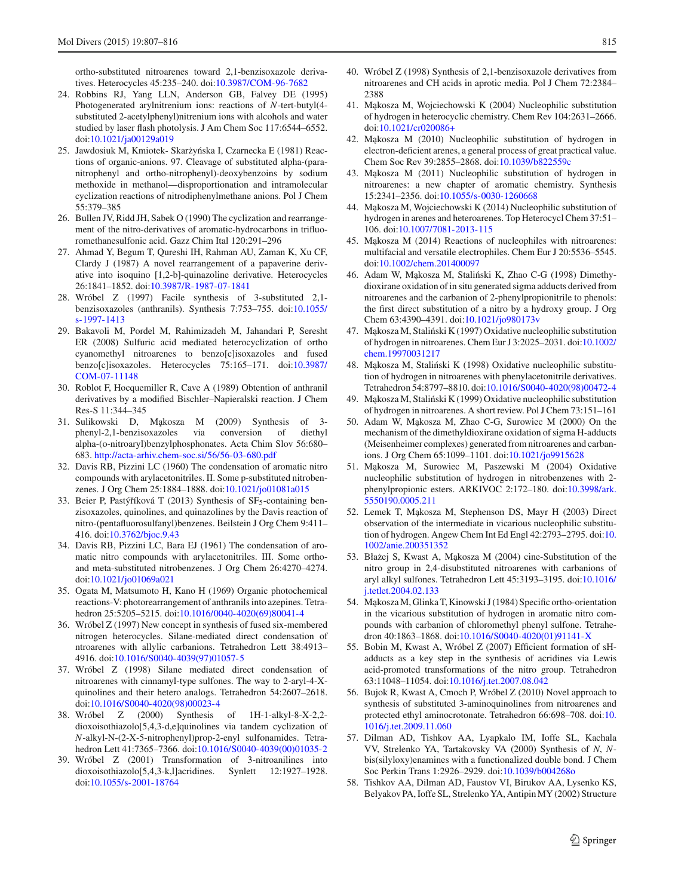ortho-substituted nitroarenes toward 2,1-benzisoxazole derivatives. Heterocycles 45:235–240. doi[:10.3987/COM-96-7682](http://dx.doi.org/10.3987/COM-96-7682)

- <span id="page-8-0"></span>24. Robbins RJ, Yang LLN, Anderson GB, Falvey DE (1995) Photogenerated arylnitrenium ions: reactions of *N*-tert-butyl(4 substituted 2-acetylphenyl)nitrenium ions with alcohols and water studied by laser flash photolysis. J Am Chem Soc 117:6544–6552. doi[:10.1021/ja00129a019](http://dx.doi.org/10.1021/ja00129a019)
- <span id="page-8-1"></span>25. Jawdosiuk M, Kmiotek- Skarżyńska I, Czarnecka E (1981) Reactions of organic-anions. 97. Cleavage of substituted alpha-(paranitrophenyl and ortho-nitrophenyl)-deoxybenzoins by sodium methoxide in methanol—disproportionation and intramolecular cyclization reactions of nitrodiphenylmethane anions. Pol J Chem 55:379–385
- 26. Bullen JV, Ridd JH, Sabek O (1990) The cyclization and rearrangement of the nitro-derivatives of aromatic-hydrocarbons in trifluoromethanesulfonic acid. Gazz Chim Ital 120:291–296
- <span id="page-8-2"></span>27. Ahmad Y, Begum T, Qureshi IH, Rahman AU, Zaman K, Xu CF, Clardy J (1987) A novel rearrangement of a papaverine derivative into isoquino [1,2-b]-quinazoline derivative. Heterocycles 26:1841–1852. doi[:10.3987/R-1987-07-1841](http://dx.doi.org/10.3987/R-1987-07-1841)
- <span id="page-8-3"></span>28. Wróbel Z (1997) Facile synthesis of 3-substituted 2,1 benzisoxazoles (anthranils). Synthesis 7:753–755. doi[:10.1055/](http://dx.doi.org/10.1055/s-1997-1413) [s-1997-1413](http://dx.doi.org/10.1055/s-1997-1413)
- 29. Bakavoli M, Pordel M, Rahimizadeh M, Jahandari P, Seresht ER (2008) Sulfuric acid mediated heterocyclization of ortho cyanomethyl nitroarenes to benzo[c]isoxazoles and fused benzo[c]isoxazoles. Heterocycles 75:165–171. doi[:10.3987/](http://dx.doi.org/10.3987/COM-07-11148) [COM-07-11148](http://dx.doi.org/10.3987/COM-07-11148)
- 30. Roblot F, Hocquemiller R, Cave A (1989) Obtention of anthranil derivatives by a modified Bischler–Napieralski reaction. J Chem Res-S 11:344–345
- <span id="page-8-4"></span>31. Sulikowski D, Mąkosza M (2009) Synthesis of 3phenyl-2,1-benzisoxazoles via conversion of diethyl alpha-(o-nitroaryl)benzylphosphonates. Acta Chim Slov 56:680– 683. <http://acta-arhiv.chem-soc.si/56/56-03-680.pdf>
- <span id="page-8-5"></span>32. Davis RB, Pizzini LC (1960) The condensation of aromatic nitro compounds with arylacetonitriles. II. Some p-substituted nitrobenzenes. J Org Chem 25:1884–1888. doi[:10.1021/jo01081a015](http://dx.doi.org/10.1021/jo01081a015)
- <span id="page-8-6"></span>33. Beier P, Pastýříková T (2013) Synthesis of  $SF<sub>5</sub>$ -containing benzisoxazoles, quinolines, and quinazolines by the Davis reaction of nitro-(pentafluorosulfanyl)benzenes. Beilstein J Org Chem 9:411– 416. doi[:10.3762/bjoc.9.43](http://dx.doi.org/10.3762/bjoc.9.43)
- <span id="page-8-7"></span>34. Davis RB, Pizzini LC, Bara EJ (1961) The condensation of aromatic nitro compounds with arylacetonitriles. III. Some orthoand meta-substituted nitrobenzenes. J Org Chem 26:4270–4274. doi[:10.1021/jo01069a021](http://dx.doi.org/10.1021/jo01069a021)
- <span id="page-8-8"></span>35. Ogata M, Matsumoto H, Kano H (1969) Organic photochemical reactions-V: photorearrangement of anthranils into azepines. Tetrahedron 25:5205–5215. doi[:10.1016/0040-4020\(69\)80041-4](http://dx.doi.org/10.1016/0040-4020(69)80041-4)
- <span id="page-8-9"></span>36. Wróbel Z (1997) New concept in synthesis of fused six-membered nitrogen heterocycles. Silane-mediated direct condensation of ntroarenes with allylic carbanions. Tetrahedron Lett 38:4913– 4916. doi[:10.1016/S0040-4039\(97\)01057-5](http://dx.doi.org/10.1016/S0040-4039(97)01057-5)
- 37. Wróbel Z (1998) Silane mediated direct condensation of nitroarenes with cinnamyl-type sulfones. The way to 2-aryl-4-Xquinolines and their hetero analogs. Tetrahedron 54:2607–2618. doi[:10.1016/S0040-4020\(98\)00023-4](http://dx.doi.org/10.1016/S0040-4020(98)00023-4)
- 38. Wróbel Z (2000) Synthesis of 1H-1-alkyl-8-X-2,2 dioxoisothiazolo[5,4,3-d,e]quinolines via tandem cyclization of *N*-alkyl-N-(2-X-5-nitrophenyl)prop-2-enyl sulfonamides. Tetrahedron Lett 41:7365–7366. doi[:10.1016/S0040-4039\(00\)01035-2](http://dx.doi.org/10.1016/S0040-4039(00)01035-2)
- <span id="page-8-10"></span>39. Wróbel Z (2001) Transformation of 3-nitroanilines into dioxoisothiazolo[5,4,3-k,l]acridines. Synlett 12:1927–1928. doi[:10.1055/s-2001-18764](http://dx.doi.org/10.1055/s-2001-18764)
- <span id="page-8-11"></span>40. Wróbel Z (1998) Synthesis of 2,1-benzisoxazole derivatives from nitroarenes and CH acids in aprotic media. Pol J Chem 72:2384– 2388
- <span id="page-8-12"></span>41. Ma˛kosza M, Wojciechowski K (2004) Nucleophilic substitution of hydrogen in heterocyclic chemistry. Chem Rev 104:2631–2666. doi[:10.1021/cr020086+](http://dx.doi.org/10.1021/cr020086+)
- <span id="page-8-21"></span>42. Ma˛kosza M (2010) Nucleophilic substitution of hydrogen in electron-deficient arenes, a general process of great practical value. Chem Soc Rev 39:2855–2868. doi[:10.1039/b822559c](http://dx.doi.org/10.1039/b822559c)
- <span id="page-8-22"></span>43. Mąkosza M (2011) Nucleophilic substitution of hydrogen in nitroarenes: a new chapter of aromatic chemistry. Synthesis 15:2341–2356. doi[:10.1055/s-0030-1260668](http://dx.doi.org/10.1055/s-0030-1260668)
- 44. Ma˛kosza M, Wojciechowski K (2014) Nucleophilic substitution of hydrogen in arenes and heteroarenes. Top Heterocycl Chem 37:51– 106. doi[:10.1007/7081-2013-115](http://dx.doi.org/10.1007/7081-2013-115)
- <span id="page-8-13"></span>45. Makosza M (2014) Reactions of nucleophiles with nitroarenes: multifacial and versatile electrophiles. Chem Eur J 20:5536–5545. doi[:10.1002/chem.201400097](http://dx.doi.org/10.1002/chem.201400097)
- <span id="page-8-14"></span>46. Adam W, Makosza M, Staliński K, Zhao C-G (1998) Dimethydioxirane oxidation of in situ generated sigma adducts derived from nitroarenes and the carbanion of 2-phenylpropionitrile to phenols: the first direct substitution of a nitro by a hydroxy group. J Org Chem 63:4390–4391. doi[:10.1021/jo980173v](http://dx.doi.org/10.1021/jo980173v)
- 47. Makosza M, Staliński K (1997) Oxidative nucleophilic substitution of hydrogen in nitroarenes. Chem Eur J 3:2025–2031. doi[:10.1002/](http://dx.doi.org/10.1002/chem.19970031217) [chem.19970031217](http://dx.doi.org/10.1002/chem.19970031217)
- 48. Mąkosza M, Staliński K (1998) Oxidative nucleophilic substitution of hydrogen in nitroarenes with phenylacetonitrile derivatives. Tetrahedron 54:8797–8810. doi[:10.1016/S0040-4020\(98\)00472-4](http://dx.doi.org/10.1016/S0040-4020(98)00472-4)
- 49. Mąkosza M, Staliński K (1999) Oxidative nucleophilic substitution of hydrogen in nitroarenes. A short review. Pol J Chem 73:151–161
- 50. Adam W, Makosza M, Zhao C-G, Surowiec M (2000) On the mechanism of the dimethyldioxirane oxidation of sigma H-adducts (Meisenheimer complexes) generated from nitroarenes and carbanions. J Org Chem 65:1099–1101. doi[:10.1021/jo9915628](http://dx.doi.org/10.1021/jo9915628)
- 51. Ma˛kosza M, Surowiec M, Paszewski M (2004) Oxidative nucleophilic substitution of hydrogen in nitrobenzenes with 2 phenylpropionic esters. ARKIVOC 2:172–180. doi[:10.3998/ark.](http://dx.doi.org/10.3998/ark.5550190.0005.211) [5550190.0005.211](http://dx.doi.org/10.3998/ark.5550190.0005.211)
- 52. Lemek T, Ma˛kosza M, Stephenson DS, Mayr H (2003) Direct observation of the intermediate in vicarious nucleophilic substitution of hydrogen. Angew Chem Int Ed Engl 42:2793–2795. doi[:10.](http://dx.doi.org/10.1002/anie.200351352) [1002/anie.200351352](http://dx.doi.org/10.1002/anie.200351352)
- <span id="page-8-15"></span>53. Błażej S, Kwast A, Mąkosza M (2004) cine-Substitution of the nitro group in 2,4-disubstituted nitroarenes with carbanions of aryl alkyl sulfones. Tetrahedron Lett 45:3193–3195. doi[:10.1016/](http://dx.doi.org/10.1016/j.tetlet.2004.02.133) [j.tetlet.2004.02.133](http://dx.doi.org/10.1016/j.tetlet.2004.02.133)
- <span id="page-8-16"></span>54. Ma˛koszaM, Glinka T, Kinowski J (1984) Specific ortho-orientation in the vicarious substitution of hydrogen in aromatic nitro compounds with carbanion of chloromethyl phenyl sulfone. Tetrahedron 40:1863–1868. doi[:10.1016/S0040-4020\(01\)91141-X](http://dx.doi.org/10.1016/S0040-4020(01)91141-X)
- <span id="page-8-17"></span>55. Bobin M, Kwast A, Wróbel Z (2007) Efficient formation of sHadducts as a key step in the synthesis of acridines via Lewis acid-promoted transformations of the nitro group. Tetrahedron 63:11048–11054. doi[:10.1016/j.tet.2007.08.042](http://dx.doi.org/10.1016/j.tet.2007.08.042)
- <span id="page-8-18"></span>56. Bujok R, Kwast A, Cmoch P, Wróbel Z (2010) Novel approach to synthesis of substituted 3-aminoquinolines from nitroarenes and protected ethyl aminocrotonate. Tetrahedron 66:698–708. doi[:10.](http://dx.doi.org/10.1016/j.tet.2009.11.060) [1016/j.tet.2009.11.060](http://dx.doi.org/10.1016/j.tet.2009.11.060)
- <span id="page-8-19"></span>57. Dilman AD, Tishkov AA, Lyapkalo IM, Ioffe SL, Kachala VV, Strelenko YA, Tartakovsky VA (2000) Synthesis of *N*, *N*bis(silyloxy)enamines with a functionalized double bond. J Chem Soc Perkin Trans 1:2926–2929. doi[:10.1039/b004268o](http://dx.doi.org/10.1039/b004268o)
- <span id="page-8-20"></span>58. Tishkov AA, Dilman AD, Faustov VI, Birukov AA, Lysenko KS, Belyakov PA, Ioffe SL, Strelenko YA, AntipinMY (2002) Structure